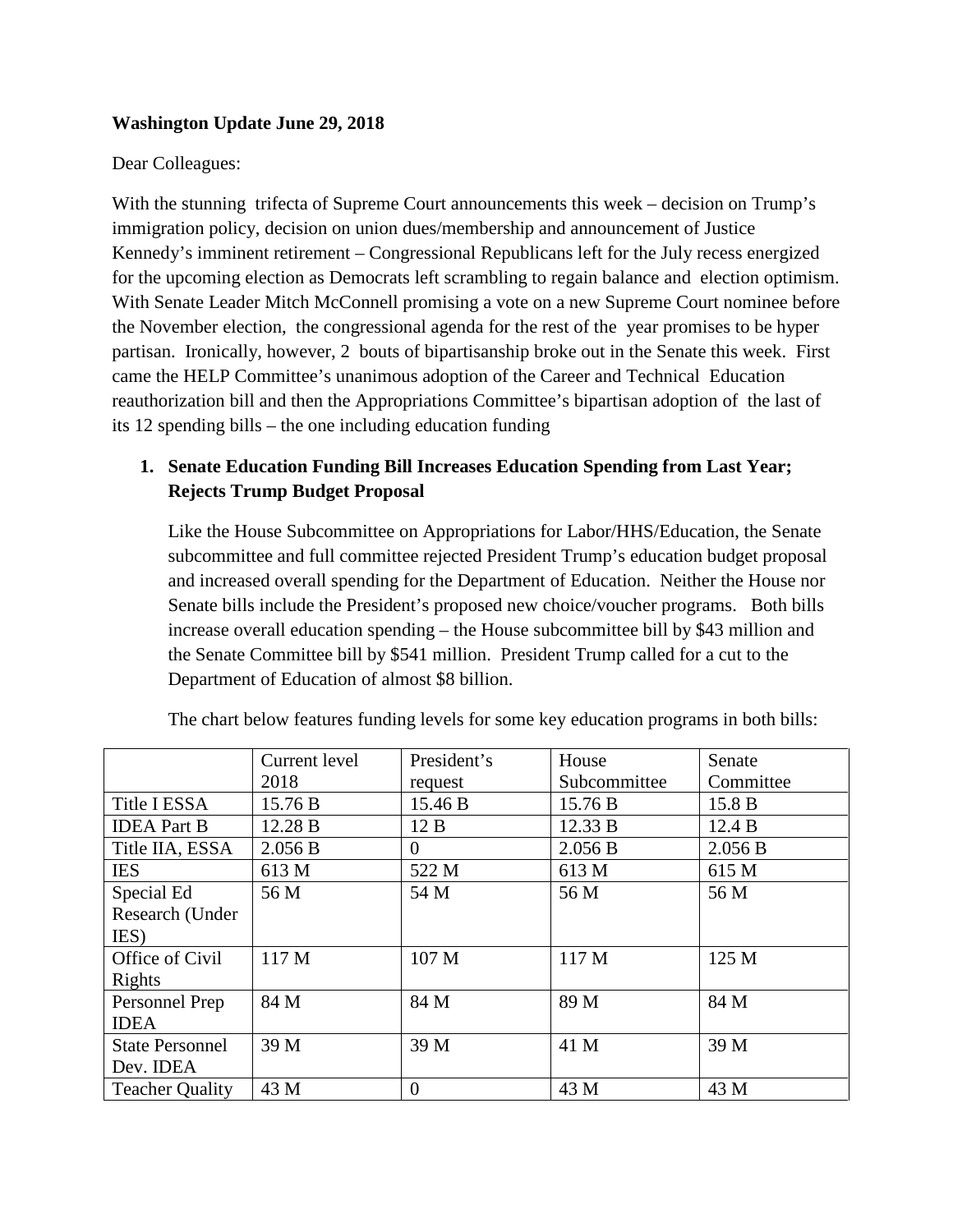#### **Washington Update June 29, 2018**

#### Dear Colleagues:

With the stunning trifecta of Supreme Court announcements this week – decision on Trump's immigration policy, decision on union dues/membership and announcement of Justice Kennedy's imminent retirement – Congressional Republicans left for the July recess energized for the upcoming election as Democrats left scrambling to regain balance and election optimism. With Senate Leader Mitch McConnell promising a vote on a new Supreme Court nominee before the November election, the congressional agenda for the rest of the year promises to be hyper partisan. Ironically, however, 2 bouts of bipartisanship broke out in the Senate this week. First came the HELP Committee's unanimous adoption of the Career and Technical Education reauthorization bill and then the Appropriations Committee's bipartisan adoption of the last of its 12 spending bills – the one including education funding

# **1. Senate Education Funding Bill Increases Education Spending from Last Year; Rejects Trump Budget Proposal**

Like the House Subcommittee on Appropriations for Labor/HHS/Education, the Senate subcommittee and full committee rejected President Trump's education budget proposal and increased overall spending for the Department of Education. Neither the House nor Senate bills include the President's proposed new choice/voucher programs. Both bills increase overall education spending – the House subcommittee bill by \$43 million and the Senate Committee bill by \$541 million. President Trump called for a cut to the Department of Education of almost \$8 billion.

|                        | Current level | President's | House        | Senate    |
|------------------------|---------------|-------------|--------------|-----------|
|                        | 2018          | request     | Subcommittee | Committee |
| Title I ESSA           | 15.76 B       | 15.46 B     | 15.76 B      | 15.8 B    |
| <b>IDEA</b> Part B     | 12.28 B       | 12B         | 12.33 B      | 12.4 B    |
| Title IIA, ESSA        | 2.056 B       | 0           | 2.056 B      | 2.056 B   |
| <b>IES</b>             | 613 M         | 522 M       | 613 M        | 615 M     |
| Special Ed             | 56 M          | 54 M        | 56 M         | 56 M      |
| Research (Under        |               |             |              |           |
| IES)                   |               |             |              |           |
| Office of Civil        | 117 M         | 107 M       | 117 M        | 125 M     |
| Rights                 |               |             |              |           |
| Personnel Prep         | 84 M          | 84 M        | 89 M         | 84 M      |
| <b>IDEA</b>            |               |             |              |           |
| <b>State Personnel</b> | 39 M          | 39 M        | 41 M         | 39 M      |
| Dev. IDEA              |               |             |              |           |
| <b>Teacher Quality</b> | 43 M          | $\theta$    | 43 M         | 43 M      |

The chart below features funding levels for some key education programs in both bills: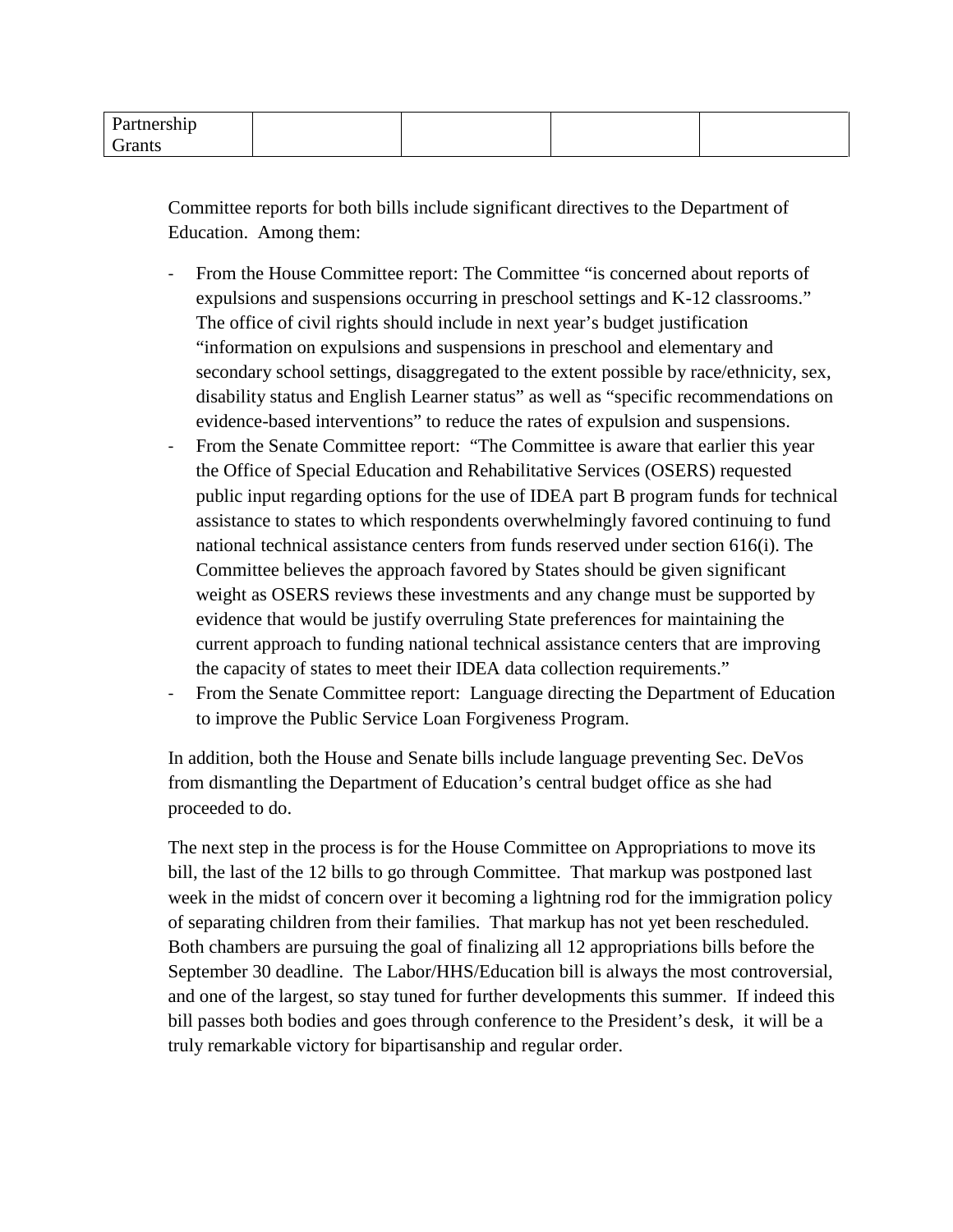| T |  |  |
|---|--|--|
|   |  |  |

Committee reports for both bills include significant directives to the Department of Education. Among them:

- From the House Committee report: The Committee "is concerned about reports of expulsions and suspensions occurring in preschool settings and K-12 classrooms." The office of civil rights should include in next year's budget justification "information on expulsions and suspensions in preschool and elementary and secondary school settings, disaggregated to the extent possible by race/ethnicity, sex, disability status and English Learner status" as well as "specific recommendations on evidence-based interventions" to reduce the rates of expulsion and suspensions.
- From the Senate Committee report: "The Committee is aware that earlier this year the Office of Special Education and Rehabilitative Services (OSERS) requested public input regarding options for the use of IDEA part B program funds for technical assistance to states to which respondents overwhelmingly favored continuing to fund national technical assistance centers from funds reserved under section 616(i). The Committee believes the approach favored by States should be given significant weight as OSERS reviews these investments and any change must be supported by evidence that would be justify overruling State preferences for maintaining the current approach to funding national technical assistance centers that are improving the capacity of states to meet their IDEA data collection requirements."
- From the Senate Committee report: Language directing the Department of Education to improve the Public Service Loan Forgiveness Program.

In addition, both the House and Senate bills include language preventing Sec. DeVos from dismantling the Department of Education's central budget office as she had proceeded to do.

The next step in the process is for the House Committee on Appropriations to move its bill, the last of the 12 bills to go through Committee. That markup was postponed last week in the midst of concern over it becoming a lightning rod for the immigration policy of separating children from their families. That markup has not yet been rescheduled. Both chambers are pursuing the goal of finalizing all 12 appropriations bills before the September 30 deadline. The Labor/HHS/Education bill is always the most controversial, and one of the largest, so stay tuned for further developments this summer. If indeed this bill passes both bodies and goes through conference to the President's desk, it will be a truly remarkable victory for bipartisanship and regular order.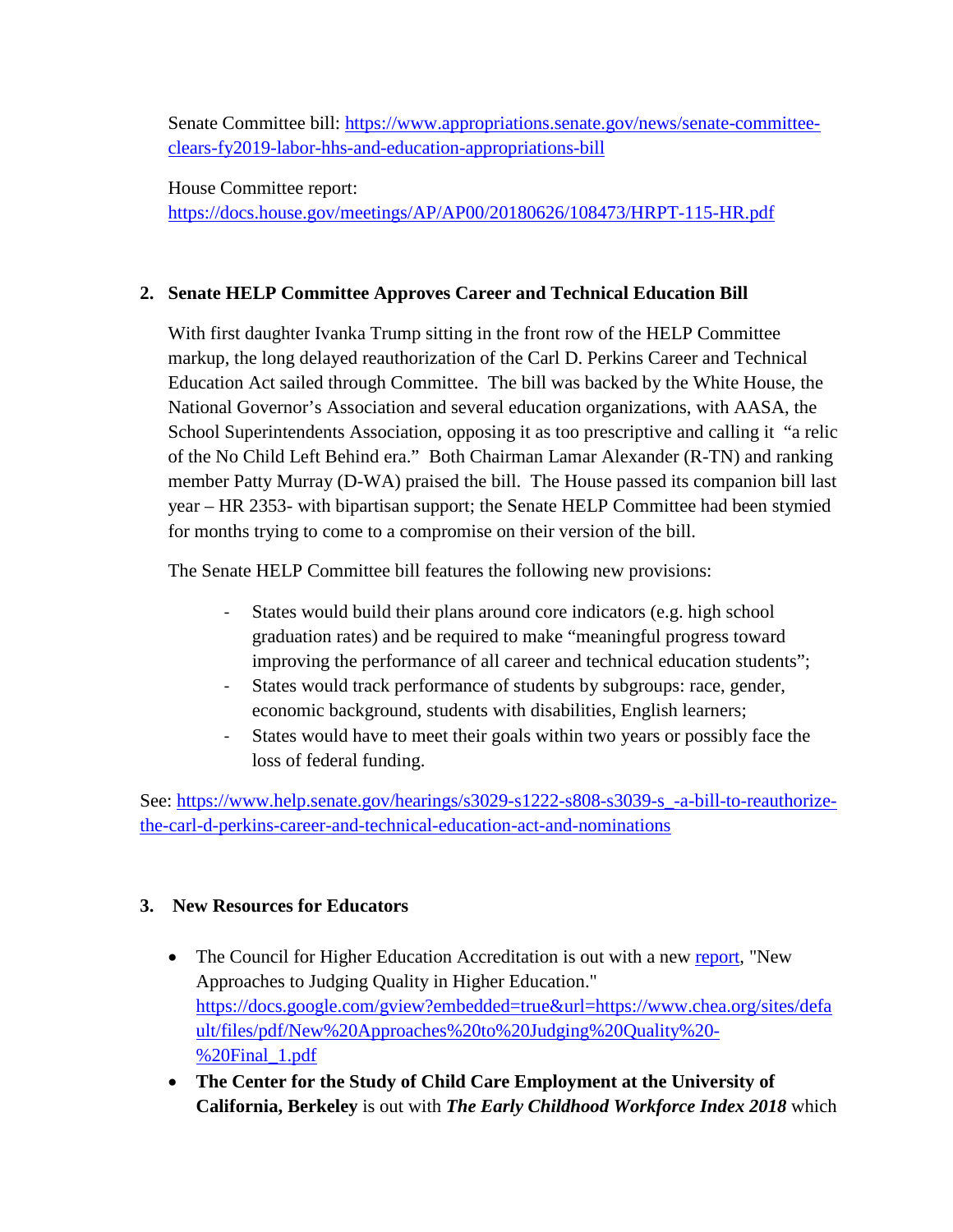Senate Committee bill: [https://www.appropriations.senate.gov/news/senate-committee](https://www.appropriations.senate.gov/news/senate-committee-clears-fy2019-labor-hhs-and-education-appropriations-bill)[clears-fy2019-labor-hhs-and-education-appropriations-bill](https://www.appropriations.senate.gov/news/senate-committee-clears-fy2019-labor-hhs-and-education-appropriations-bill)

House Committee report: <https://docs.house.gov/meetings/AP/AP00/20180626/108473/HRPT-115-HR.pdf>

# **2. Senate HELP Committee Approves Career and Technical Education Bill**

With first daughter Ivanka Trump sitting in the front row of the HELP Committee markup, the long delayed reauthorization of the Carl D. Perkins Career and Technical Education Act sailed through Committee. The bill was backed by the White House, the National Governor's Association and several education organizations, with AASA, the School Superintendents Association, opposing it as too prescriptive and calling it "a relic of the No Child Left Behind era." Both Chairman Lamar Alexander (R-TN) and ranking member Patty Murray (D-WA) praised the bill. The House passed its companion bill last year – HR 2353- with bipartisan support; the Senate HELP Committee had been stymied for months trying to come to a compromise on their version of the bill.

The Senate HELP Committee bill features the following new provisions:

- States would build their plans around core indicators (e.g. high school graduation rates) and be required to make "meaningful progress toward improving the performance of all career and technical education students";
- States would track performance of students by subgroups: race, gender, economic background, students with disabilities, English learners;
- States would have to meet their goals within two years or possibly face the loss of federal funding.

See: [https://www.help.senate.gov/hearings/s3029-s1222-s808-s3039-s\\_-a-bill-to-reauthorize](https://www.help.senate.gov/hearings/s3029-s1222-s808-s3039-s_-a-bill-to-reauthorize-the-carl-d-perkins-career-and-technical-education-act-and-nominations)[the-carl-d-perkins-career-and-technical-education-act-and-nominations](https://www.help.senate.gov/hearings/s3029-s1222-s808-s3039-s_-a-bill-to-reauthorize-the-carl-d-perkins-career-and-technical-education-act-and-nominations)

### **3. New Resources for Educators**

- The Council for Higher Education Accreditation is out with a new [report,](http://go.politicoemail.com/?qs=3e0334e8b72382b7f0d0c1d97a89f9d5870ab5acfa2af497aec4e35af13ca060131ca0165fa483f637a1a2cb88ce7efa) "New Approaches to Judging Quality in Higher Education." [https://docs.google.com/gview?embedded=true&url=https://www.chea.org/sites/defa](https://docs.google.com/gview?embedded=true&url=https://www.chea.org/sites/default/files/pdf/New%20Approaches%20to%20Judging%20Quality%20-%20Final_1.pdf) [ult/files/pdf/New%20Approaches%20to%20Judging%20Quality%20-](https://docs.google.com/gview?embedded=true&url=https://www.chea.org/sites/default/files/pdf/New%20Approaches%20to%20Judging%20Quality%20-%20Final_1.pdf) [%20Final\\_1.pdf](https://docs.google.com/gview?embedded=true&url=https://www.chea.org/sites/default/files/pdf/New%20Approaches%20to%20Judging%20Quality%20-%20Final_1.pdf)
- **The Center for the Study of Child Care Employment at the University of California, Berkeley** is out with *The Early Childhood Workforce Index 2018* which